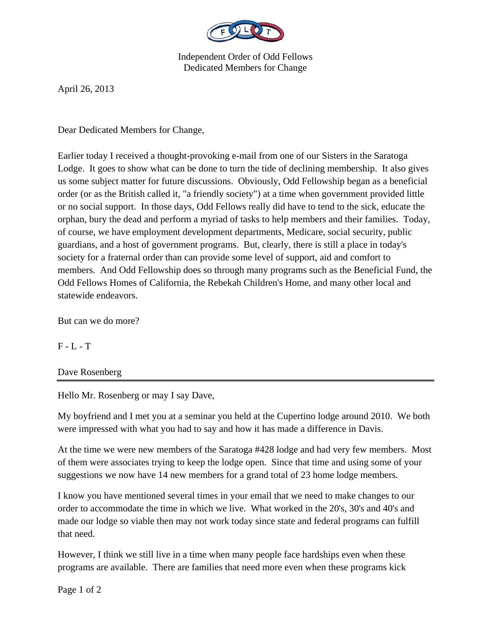

Independent Order of Odd Fellows Dedicated Members for Change

April 26, 2013

Dear Dedicated Members for Change,

Earlier today I received a thought-provoking e-mail from one of our Sisters in the Saratoga Lodge. It goes to show what can be done to turn the tide of declining membership. It also gives us some subject matter for future discussions. Obviously, Odd Fellowship began as a beneficial order (or as the British called it, "a friendly society") at a time when government provided little or no social support. In those days, Odd Fellows really did have to tend to the sick, educate the orphan, bury the dead and perform a myriad of tasks to help members and their families. Today, of course, we have employment development departments, Medicare, social security, public guardians, and a host of government programs. But, clearly, there is still a place in today's society for a fraternal order than can provide some level of support, aid and comfort to members. And Odd Fellowship does so through many programs such as the Beneficial Fund, the Odd Fellows Homes of California, the Rebekah Children's Home, and many other local and statewide endeavors.

But can we do more?

 $F - L - T$ 

Dave Rosenberg

Hello Mr. Rosenberg or may I say Dave,

My boyfriend and I met you at a seminar you held at the Cupertino lodge around 2010. We both were impressed with what you had to say and how it has made a difference in Davis.

At the time we were new members of the Saratoga #428 lodge and had very few members. Most of them were associates trying to keep the lodge open. Since that time and using some of your suggestions we now have 14 new members for a grand total of 23 home lodge members.

I know you have mentioned several times in your email that we need to make changes to our order to accommodate the time in which we live. What worked in the 20's, 30's and 40's and made our lodge so viable then may not work today since state and federal programs can fulfill that need.

However, I think we still live in a time when many people face hardships even when these programs are available. There are families that need more even when these programs kick